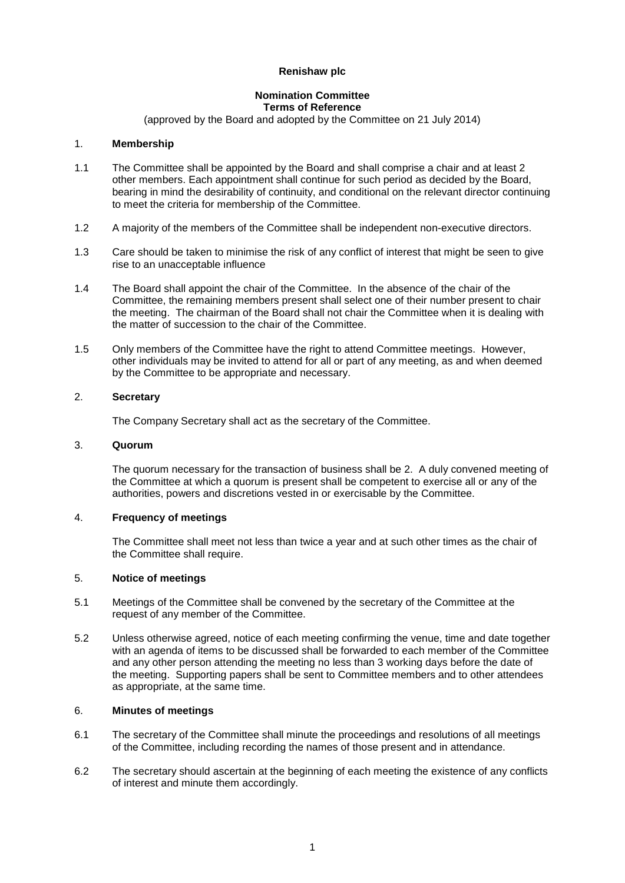## **Renishaw plc**

#### **Nomination Committee Terms of Reference**

(approved by the Board and adopted by the Committee on 21 July 2014)

## 1. **Membership**

- 1.1 The Committee shall be appointed by the Board and shall comprise a chair and at least 2 other members. Each appointment shall continue for such period as decided by the Board, bearing in mind the desirability of continuity, and conditional on the relevant director continuing to meet the criteria for membership of the Committee.
- 1.2 A majority of the members of the Committee shall be independent non-executive directors.
- 1.3 Care should be taken to minimise the risk of any conflict of interest that might be seen to give rise to an unacceptable influence
- 1.4 The Board shall appoint the chair of the Committee. In the absence of the chair of the Committee, the remaining members present shall select one of their number present to chair the meeting. The chairman of the Board shall not chair the Committee when it is dealing with the matter of succession to the chair of the Committee.
- 1.5 Only members of the Committee have the right to attend Committee meetings. However, other individuals may be invited to attend for all or part of any meeting, as and when deemed by the Committee to be appropriate and necessary.

## 2. **Secretary**

The Company Secretary shall act as the secretary of the Committee.

#### 3. **Quorum**

The quorum necessary for the transaction of business shall be 2. A duly convened meeting of the Committee at which a quorum is present shall be competent to exercise all or any of the authorities, powers and discretions vested in or exercisable by the Committee.

#### 4. **Frequency of meetings**

The Committee shall meet not less than twice a year and at such other times as the chair of the Committee shall require.

# 5. **Notice of meetings**

- 5.1 Meetings of the Committee shall be convened by the secretary of the Committee at the request of any member of the Committee.
- 5.2 Unless otherwise agreed, notice of each meeting confirming the venue, time and date together with an agenda of items to be discussed shall be forwarded to each member of the Committee and any other person attending the meeting no less than 3 working days before the date of the meeting. Supporting papers shall be sent to Committee members and to other attendees as appropriate, at the same time.

#### 6. **Minutes of meetings**

- 6.1 The secretary of the Committee shall minute the proceedings and resolutions of all meetings of the Committee, including recording the names of those present and in attendance.
- 6.2 The secretary should ascertain at the beginning of each meeting the existence of any conflicts of interest and minute them accordingly.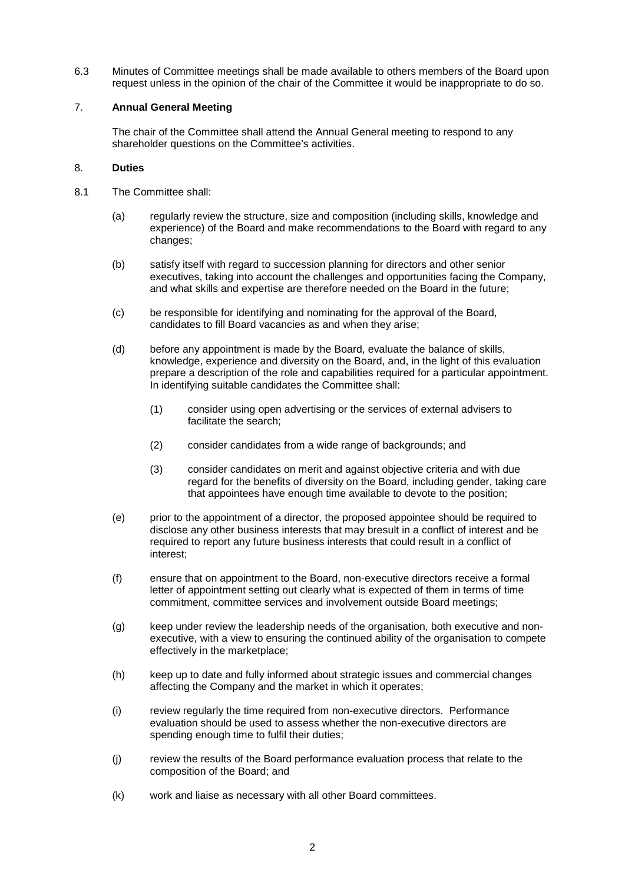6.3 Minutes of Committee meetings shall be made available to others members of the Board upon request unless in the opinion of the chair of the Committee it would be inappropriate to do so.

## 7. **Annual General Meeting**

The chair of the Committee shall attend the Annual General meeting to respond to any shareholder questions on the Committee's activities.

## 8. **Duties**

- 8.1 The Committee shall:
	- (a) regularly review the structure, size and composition (including skills, knowledge and experience) of the Board and make recommendations to the Board with regard to any changes;
	- (b) satisfy itself with regard to succession planning for directors and other senior executives, taking into account the challenges and opportunities facing the Company, and what skills and expertise are therefore needed on the Board in the future;
	- (c) be responsible for identifying and nominating for the approval of the Board, candidates to fill Board vacancies as and when they arise;
	- (d) before any appointment is made by the Board, evaluate the balance of skills, knowledge, experience and diversity on the Board, and, in the light of this evaluation prepare a description of the role and capabilities required for a particular appointment. In identifying suitable candidates the Committee shall:
		- (1) consider using open advertising or the services of external advisers to facilitate the search;
		- (2) consider candidates from a wide range of backgrounds; and
		- (3) consider candidates on merit and against objective criteria and with due regard for the benefits of diversity on the Board, including gender, taking care that appointees have enough time available to devote to the position;
	- (e) prior to the appointment of a director, the proposed appointee should be required to disclose any other business interests that may bresult in a conflict of interest and be required to report any future business interests that could result in a conflict of interest;
	- (f) ensure that on appointment to the Board, non-executive directors receive a formal letter of appointment setting out clearly what is expected of them in terms of time commitment, committee services and involvement outside Board meetings;
	- (g) keep under review the leadership needs of the organisation, both executive and nonexecutive, with a view to ensuring the continued ability of the organisation to compete effectively in the marketplace;
	- (h) keep up to date and fully informed about strategic issues and commercial changes affecting the Company and the market in which it operates;
	- (i) review regularly the time required from non-executive directors. Performance evaluation should be used to assess whether the non-executive directors are spending enough time to fulfil their duties;
	- (j) review the results of the Board performance evaluation process that relate to the composition of the Board; and
	- (k) work and liaise as necessary with all other Board committees.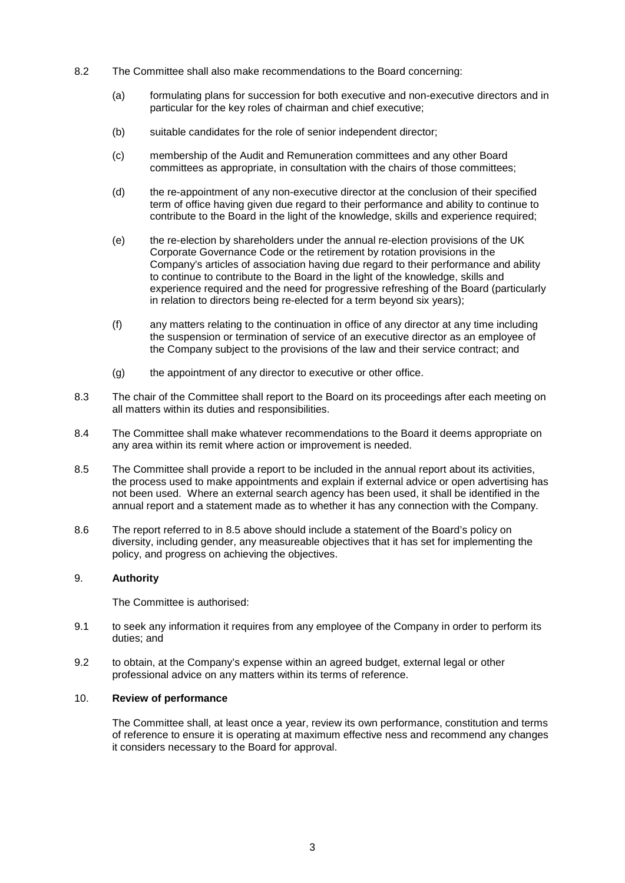- 8.2 The Committee shall also make recommendations to the Board concerning:
	- (a) formulating plans for succession for both executive and non-executive directors and in particular for the key roles of chairman and chief executive;
	- (b) suitable candidates for the role of senior independent director;
	- (c) membership of the Audit and Remuneration committees and any other Board committees as appropriate, in consultation with the chairs of those committees;
	- (d) the re-appointment of any non-executive director at the conclusion of their specified term of office having given due regard to their performance and ability to continue to contribute to the Board in the light of the knowledge, skills and experience required;
	- (e) the re-election by shareholders under the annual re-election provisions of the UK Corporate Governance Code or the retirement by rotation provisions in the Company's articles of association having due regard to their performance and ability to continue to contribute to the Board in the light of the knowledge, skills and experience required and the need for progressive refreshing of the Board (particularly in relation to directors being re-elected for a term beyond six years);
	- (f) any matters relating to the continuation in office of any director at any time including the suspension or termination of service of an executive director as an employee of the Company subject to the provisions of the law and their service contract; and
	- (g) the appointment of any director to executive or other office.
- 8.3 The chair of the Committee shall report to the Board on its proceedings after each meeting on all matters within its duties and responsibilities.
- 8.4 The Committee shall make whatever recommendations to the Board it deems appropriate on any area within its remit where action or improvement is needed.
- 8.5 The Committee shall provide a report to be included in the annual report about its activities, the process used to make appointments and explain if external advice or open advertising has not been used. Where an external search agency has been used, it shall be identified in the annual report and a statement made as to whether it has any connection with the Company.
- 8.6 The report referred to in 8.5 above should include a statement of the Board's policy on diversity, including gender, any measureable objectives that it has set for implementing the policy, and progress on achieving the objectives.

# 9. **Authority**

The Committee is authorised:

- 9.1 to seek any information it requires from any employee of the Company in order to perform its duties; and
- 9.2 to obtain, at the Company's expense within an agreed budget, external legal or other professional advice on any matters within its terms of reference.

# 10. **Review of performance**

The Committee shall, at least once a year, review its own performance, constitution and terms of reference to ensure it is operating at maximum effective ness and recommend any changes it considers necessary to the Board for approval.